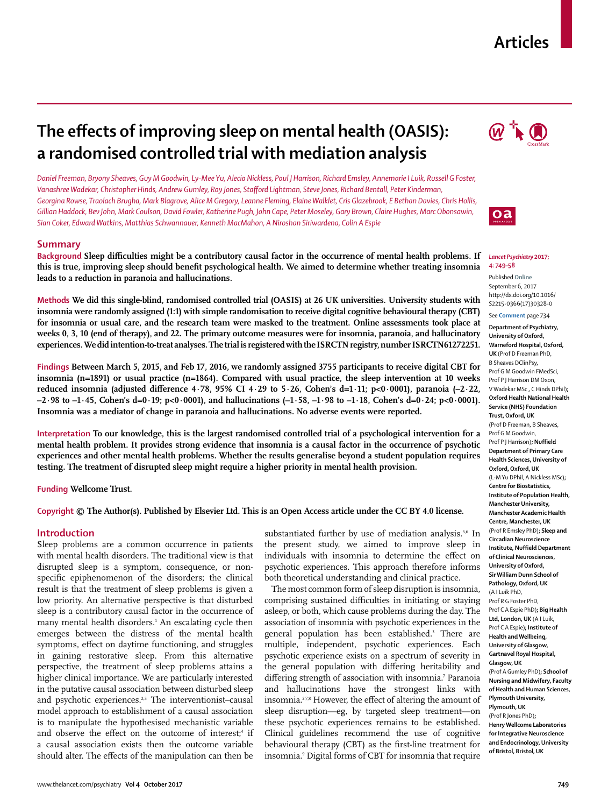# **Articles**

# **The effects of improving sleep on mental health (OASIS): a randomised controlled trial with mediation analysis**

*Daniel Freeman, Bryony Sheaves, Guy M Goodwin, Ly-Mee Yu, Alecia Nickless, Paul J Harrison, Richard Emsley, Annemarie I Luik, Russell G Foster, Vanashree Wadekar, Christopher Hinds, Andrew Gumley, Ray Jones, Stafford Lightman, Steve Jones, Richard Bentall, Peter Kinderman, Georgina Rowse, Traolach Brugha, Mark Blagrove, Alice M Gregory, Leanne Fleming, Elaine Walklet, Cris Glazebrook, E Bethan Davies, Chris Hollis, Gillian Haddock, Bev John, Mark Coulson, David Fowler, Katherine Pugh, John Cape, Peter Moseley, Gary Brown, Claire Hughes, Marc Obonsawin, Sian Coker, Edward Watkins, Matthias Schwannauer, Kenneth MacMahon, A Niroshan Siriwardena, Colin A Espie*

# **Summary**

**Background Sleep difficulties might be a contributory causal factor in the occurrence of mental health problems. If this is true, improving sleep should benefit psychological health. We aimed to determine whether treating insomnia leads to a reduction in paranoia and hallucinations.**

**Methods We did this single-blind, randomised controlled trial (OASIS) at 26 UK universities. University students with insomnia were randomly assigned (1:1) with simple randomisation to receive digital cognitive behavioural therapy (CBT) for insomnia or usual care, and the research team were masked to the treatment. Online assessments took place at weeks 0, 3, 10 (end of therapy), and 22. The primary outcome measures were for insomnia, paranoia, and hallucinatory experiences. We did intention-to-treat analyses. The trial is registered with the ISRCTN registry, number ISRCTN61272251.**



**Interpretation To our knowledge, this is the largest randomised controlled trial of a psychological intervention for a mental health problem. It provides strong evidence that insomnia is a causal factor in the occurrence of psychotic experiences and other mental health problems. Whether the results generalise beyond a student population requires testing. The treatment of disrupted sleep might require a higher priority in mental health provision.**

**Funding Wellcome Trust.**

# **Copyright © The Author(s). Published by Elsevier Ltd. This is an Open Access article under the CC BY 4.0 license.**

## **Introduction**

Sleep problems are a common occurrence in patients with mental health disorders. The traditional view is that disrupted sleep is a symptom, consequence, or nonspecific epiphenomenon of the disorders; the clinical result is that the treatment of sleep problems is given a low priority. An alternative perspective is that disturbed sleep is a contributory causal factor in the occurrence of many mental health disorders.1 An escalating cycle then emerges between the distress of the mental health symptoms, effect on daytime functioning, and struggles in gaining restorative sleep. From this alternative perspective, the treatment of sleep problems attains a higher clinical importance. We are particularly interested in the putative causal association between disturbed sleep and psychotic experiences.<sup>2,3</sup> The interventionist-causal model approach to establishment of a causal association is to manipulate the hypothesised mechanistic variable and observe the effect on the outcome of interest;<sup>4</sup> if a causal association exists then the outcome variable should alter. The effects of the manipulation can then be

substantiated further by use of mediation analysis.<sup>5,6</sup> In the present study, we aimed to improve sleep in individuals with insomnia to determine the effect on psychotic experiences. This approach therefore informs both theoretical understanding and clinical practice.

The most common form of sleep disruption is insomnia, comprising sustained difficulties in initiating or staying asleep, or both, which cause problems during the day. The association of insomnia with psychotic experiences in the general population has been established.<sup>3</sup> There are multiple, independent, psychotic experiences. Each psychotic experience exists on a spectrum of severity in the general population with differing heritability and differing strength of association with insomnia.<sup>7</sup> Paranoia and hallucinations have the strongest links with insomnia.<sup>27,8</sup> However, the effect of altering the amount of sleep disruption—eg, by targeted sleep treatment—on these psychotic experiences remains to be established. Clinical guidelines recommend the use of cognitive behavioural therapy (CBT) as the first-line treatment for insomnia.9 Digital forms of CBT for insomnia that require





#### *Lancet Psychiatry* **2017; 4: 749–58**

Published **Online** September 6, 2017 http://dx.doi.org/10.1016/ S2215-0366(17)30328-0

See **Comment** page 734 **Department of Psychiatry, University of Oxford, Warneford Hospital, Oxford, UK** (Prof D Freeman PhD, B Sheaves DClinPsy,

Prof G M Goodwin FMedSci, Prof P J Harrison DM Oxon, V Wadekar MSc **,** C Hinds DPhil)**; Oxford Health National Health Service (NHS) Foundation Trust, Oxford, UK** (Prof D Freeman, B Sheaves, Prof G M Goodwin, Prof P J Harrison)**; Nuffield Department of Primary Care Health Sciences, University of Oxford, Oxford, UK**  (L-M Yu DPhil, A Nickless MSc)**; Centre for Biostatistics, Institute of Population Health, Manchester University, Manchester Academic Health Centre, Manchester, UK** (Prof R Emsley PhD)**; Sleep and Circadian Neuroscience Institute, Nuffield Department of Clinical Neurosciences, University of Oxford, Sir William Dunn School of Pathology, Oxford, UK** (A I Luik PhD, Prof R G Foster PhD, Prof C A Espie PhD)**; Big Health Ltd, London, UK** (A I Luik, Prof C A Espie)**; Institute of Health and Wellbeing, University of Glasgow, Gartnavel Royal Hospital, Glasgow, UK** (Prof A Gumley PhD)**; School of Nursing and Midwifery, Faculty of Health and Human Sciences, Plymouth University, Plymouth, UK** (Prof R Jones PhD)**; Henry Wellcome Laboratories for Integrative Neuroscience and Endocrinology, University of Bristol, Bristol, UK**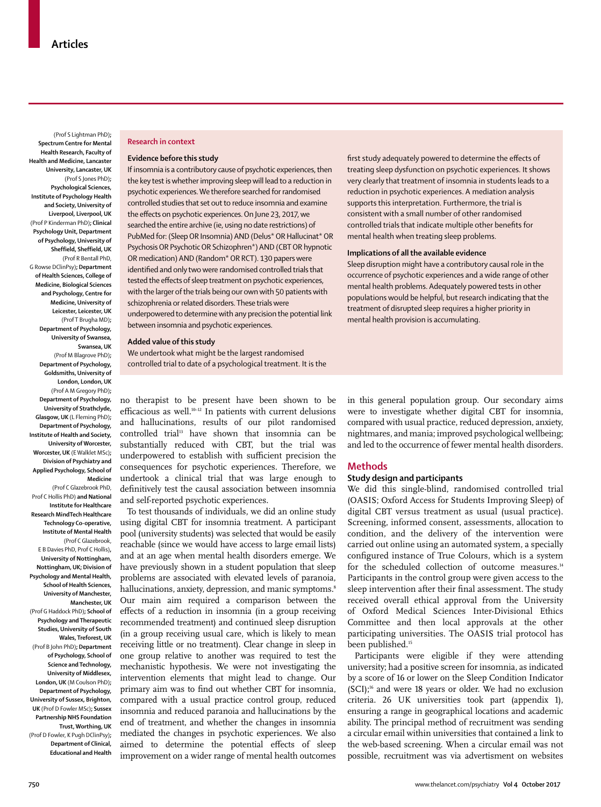(Prof S Lightman PhD)**; Spectrum Centre for Mental Health Research, Faculty of Health and Medicine, Lancaster University, Lancaster, UK** (Prof S Jones PhD)**; Psychological Sciences, Institute of Psychology Health and Society, University of Liverpool, Liverpool, UK** (Prof P Kinderman PhD)**; Clinical Psychology Unit, Department of Psychology, University of Sheffield, Sheffield, UK** (Prof R Bentall PhD, G Rowse DClinPsy)**; Department of Health Sciences, College of Medicine, Biological Sciences and Psychology, Centre for Medicine, University of Leicester, Leicester, UK**  (Prof T Brugha MD)**; Department of Psychology, University of Swansea, Swansea, UK** (Prof M Blagrove PhD)**; Department of Psychology, Goldsmiths, University of London, London, UK** (Prof A M Gregory PhD)**; Department of Psychology, University of Strathclyde, Glasgow, UK** (L Fleming PhD)**; Department of Psychology, Institute of Health and Society, University of Worcester, Worcester, UK** (E Walklet MSc)**; Division of Psychiatry and Applied Psychology, School of** 

**Medicine** (Prof C Glazebrook PhD, Prof C Hollis PhD) **and National Institute for Healthcare Research MindTech Healthcare Technology Co-operative, Institute of Mental Health** (Prof C Glazebrook, E B Davies PhD, Prof C Hollis)**, University of Nottingham, Nottingham, UK; Division of Psychology and Mental Health, School of Health Sciences, University of Manchester, Manchester, UK** (Prof G Haddock PhD)**; School of Psychology and Therapeutic Studies, University of South Wales, Treforest, UK** (Prof B John PhD)**; Department of Psychology, School of Science and Technology, University of Middlesex, London, UK** (M Coulson PhD)**; Department of Psychology, University of Sussex, Brighton, UK** (Prof D Fowler MSc)**; Sussex Partnership NHS Foundation Trust, Worthing, UK** (Prof D Fowler, K Pugh DClinPsy)**; Department of Clinical, Educational and Health** 

## **Research in context**

## **Evidence before this study**

If insomnia is a contributory cause of psychotic experiences, then the key test is whether improving sleep will lead to a reduction in psychotic experiences. We therefore searched for randomised controlled studies that set out to reduce insomnia and examine the effects on psychotic experiences. On June 23, 2017, we searched the entire archive (ie, using no date restrictions) of PubMed for: (Sleep OR Insomnia) AND (Delus\* OR Hallucinat\* OR Psychosis OR Psychotic OR Schizophren\*) AND (CBT OR hypnotic OR medication) AND (Random\* OR RCT). 130 papers were identified and only two were randomised controlled trials that tested the effects of sleep treatment on psychotic experiences, with the larger of the trials being our own with 50 patients with schizophrenia or related disorders. These trials were underpowered to determine with any precision the potential link between insomnia and psychotic experiences.

# **Added value of this study**

We undertook what might be the largest randomised controlled trial to date of a psychological treatment. It is the

no therapist to be present have been shown to be efficacious as well.10–12 In patients with current delusions and hallucinations, results of our pilot randomised controlled trial<sup>13</sup> have shown that insomnia can be substantially reduced with CBT, but the trial was underpowered to establish with sufficient precision the consequences for psychotic experiences. Therefore, we undertook a clinical trial that was large enough to definitively test the causal association between insomnia and self-reported psychotic experiences.

To test thousands of individuals, we did an online study using digital CBT for insomnia treatment. A participant pool (university students) was selected that would be easily reachable (since we would have access to large email lists) and at an age when mental health disorders emerge. We have previously shown in a student population that sleep problems are associated with elevated levels of paranoia, hallucinations, anxiety, depression, and manic symptoms.<sup>8</sup> Our main aim required a comparison between the effects of a reduction in insomnia (in a group receiving recommended treatment) and continued sleep disruption (in a group receiving usual care, which is likely to mean receiving little or no treatment). Clear change in sleep in one group relative to another was required to test the mechanistic hypothesis. We were not investigating the intervention elements that might lead to change. Our primary aim was to find out whether CBT for insomnia, compared with a usual practice control group, reduced insomnia and reduced paranoia and hallucinations by the end of treatment, and whether the changes in insomnia mediated the changes in psychotic experiences. We also aimed to determine the potential effects of sleep improvement on a wider range of mental health outcomes

first study adequately powered to determine the effects of treating sleep dysfunction on psychotic experiences. It shows very clearly that treatment of insomnia in students leads to a reduction in psychotic experiences. A mediation analysis supports this interpretation. Furthermore, the trial is consistent with a small number of other randomised controlled trials that indicate multiple other benefits for mental health when treating sleep problems.

#### **Implications of all the available evidence**

Sleep disruption might have a contributory causal role in the occurrence of psychotic experiences and a wide range of other mental health problems. Adequately powered tests in other populations would be helpful, but research indicating that the treatment of disrupted sleep requires a higher priority in mental health provision is accumulating.

in this general population group. Our secondary aims were to investigate whether digital CBT for insomnia, compared with usual practice, reduced depression, anxiety, nightmares, and mania; improved psychological wellbeing; and led to the occurrence of fewer mental health disorders.

## **Methods**

# **Study design and participants**

We did this single-blind, randomised controlled trial (OASIS; Oxford Access for Students Improving Sleep) of digital CBT versus treatment as usual (usual practice). Screening, informed consent, assessments, allocation to condition, and the delivery of the intervention were carried out online using an automated system, a specially configured instance of True Colours, which is a system for the scheduled collection of outcome measures.<sup>14</sup> Participants in the control group were given access to the sleep intervention after their final assessment. The study received overall ethical approval from the University of Oxford Medical Sciences Inter-Divisional Ethics Committee and then local approvals at the other participating universities. The OASIS trial protocol has been published.<sup>15</sup>

Participants were eligible if they were attending university; had a positive screen for insomnia, as indicated by a score of 16 or lower on the Sleep Condition Indicator (SCI);16 and were 18 years or older. We had no exclusion criteria. 26 UK universities took part (appendix 1), ensuring a range in geographical locations and academic ability. The principal method of recruitment was sending a circular email within universities that contained a link to the web-based screening. When a circular email was not possible, recruitment was via advertisment on websites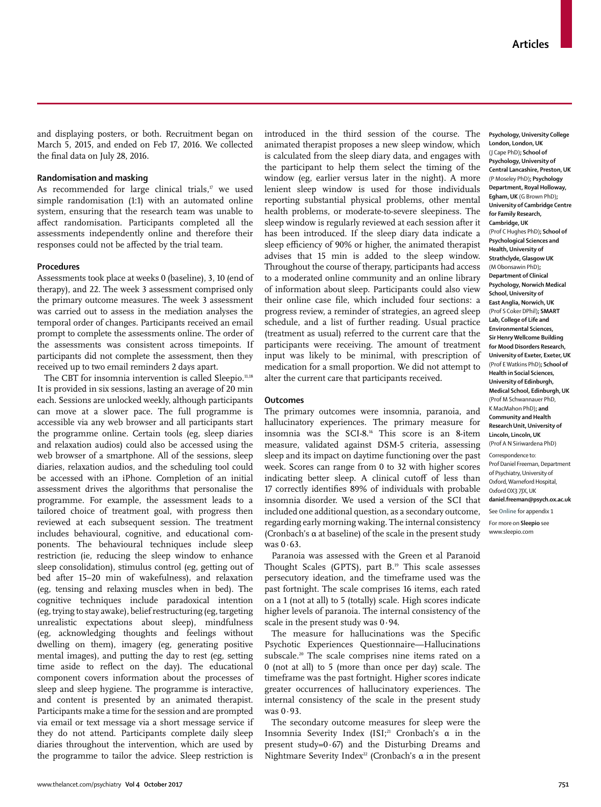and displaying posters, or both. Recruitment began on March 5, 2015, and ended on Feb 17, 2016. We collected the final data on July 28, 2016.

## **Randomisation and masking**

As recommended for large clinical trials, $17$  we used simple randomisation (1:1) with an automated online system, ensuring that the research team was unable to affect randomisation. Participants completed all the assessments independently online and therefore their responses could not be affected by the trial team.

# **Procedures**

Assessments took place at weeks 0 (baseline), 3, 10 (end of therapy), and 22. The week 3 assessment comprised only the primary outcome measures. The week 3 assessment was carried out to assess in the mediation analyses the temporal order of changes. Participants received an email prompt to complete the assessments online. The order of the assessments was consistent across timepoints. If participants did not complete the assessment, then they received up to two email reminders 2 days apart.

The CBT for insomnia intervention is called [Sleepio.](www.sleepio.com)11,18 It is provided in six sessions, lasting an average of 20 min each. Sessions are unlocked weekly, although participants can move at a slower pace. The full programme is accessible via any web browser and all participants start the programme online. Certain tools (eg, sleep diaries and relaxation audios) could also be accessed using the web browser of a smartphone. All of the sessions, sleep diaries, relaxation audios, and the scheduling tool could be accessed with an iPhone. Completion of an initial assessment drives the algorithms that personalise the programme. For example, the assessment leads to a tailored choice of treatment goal, with progress then reviewed at each subsequent session. The treatment includes behavioural, cognitive, and educational components. The behavioural techniques include sleep restriction (ie, reducing the sleep window to enhance sleep consolidation), stimulus control (eg, getting out of bed after 15–20 min of wakefulness), and relaxation (eg, tensing and relaxing muscles when in bed). The cognitive techniques include paradoxical intention (eg, trying to stay awake), belief restructuring (eg, targeting unrealistic expectations about sleep), mindfulness (eg, acknowledging thoughts and feelings without dwelling on them), imagery (eg, generating positive mental images), and putting the day to rest (eg, setting time aside to reflect on the day). The educational component covers information about the processes of sleep and sleep hygiene. The programme is interactive, and content is presented by an animated therapist. Participants make a time for the session and are prompted via email or text message via a short message service if they do not attend. Participants complete daily sleep diaries throughout the intervention, which are used by the programme to tailor the advice. Sleep restriction is introduced in the third session of the course. The animated therapist proposes a new sleep window, which is calculated from the sleep diary data, and engages with the participant to help them select the timing of the window (eg, earlier versus later in the night). A more lenient sleep window is used for those individuals reporting substantial physical problems, other mental health problems, or moderate-to-severe sleepiness. The sleep window is regularly reviewed at each session after it has been introduced. If the sleep diary data indicate a sleep efficiency of 90% or higher, the animated therapist advises that 15 min is added to the sleep window. Throughout the course of therapy, participants had access to a moderated online community and an online library of information about sleep. Participants could also view their online case file, which included four sections: a progress review, a reminder of strategies, an agreed sleep schedule, and a list of further reading. Usual practice (treatment as usual) referred to the current care that the participants were receiving. The amount of treatment input was likely to be minimal, with prescription of medication for a small proportion. We did not attempt to alter the current care that participants received.

# **Outcomes**

The primary outcomes were insomnia, paranoia, and hallucinatory experiences. The primary measure for insomnia was the SCI-8.16 This score is an 8-item measure, validated against DSM-5 criteria, assessing sleep and its impact on daytime functioning over the past week. Scores can range from 0 to 32 with higher scores indicating better sleep. A clinical cutoff of less than 17 correctly identifies 89% of individuals with probable insomnia disorder. We used a version of the SCI that included one additional question, as a secondary outcome, regarding early morning waking. The internal consistency (Cronbach's α at baseline) of the scale in the present study was  $0.63$ .

Paranoia was assessed with the Green et al Paranoid Thought Scales (GPTS), part B.<sup>19</sup> This scale assesses persecutory ideation, and the timeframe used was the past fortnight. The scale comprises 16 items, each rated on a 1 (not at all) to 5 (totally) scale. High scores indicate higher levels of paranoia. The internal consistency of the scale in the present study was 0·94.

The measure for hallucinations was the Specific Psychotic Experiences Questionnaire—Hallucinations subscale.<sup>20</sup> The scale comprises nine items rated on a 0 (not at all) to 5 (more than once per day) scale. The timeframe was the past fortnight. Higher scores indicate greater occurrences of hallucinatory experiences. The internal consistency of the scale in the present study was 0·93.

The secondary outcome measures for sleep were the Insomnia Severity Index (ISI;<sup>21</sup> Cronbach's  $\alpha$  in the present study= $0.67$  and the Disturbing Dreams and Nightmare Severity Index<sup>22</sup> (Cronbach's α in the present

**Psychology, University College London, London, UK**  (J Cape PhD)**; School of Psychology, University of Central Lancashire, Preston, UK** (P Moseley PhD)**; Psychology Department, Royal Holloway, Egham, UK** (G Brown PhD)**; University of Cambridge Centre for Family Research, Cambridge, UK** (Prof C Hughes PhD)**; School of Psychological Sciences and Health, University of Strathclyde, Glasgow UK** (M Obonsawin PhD)**; Department of Clinical Psychology, Norwich Medical School, University of East Anglia, Norwich, UK** (Prof S Coker DPhil)**; SMART Lab, College of Life and Environmental Sciences, Sir Henry Wellcome Building for Mood Disorders Research, University of Exeter, Exeter, UK** (Prof E Watkins PhD)**; School of Health in Social Sciences, University of Edinburgh, Medical School, Edinburgh, UK** (Prof M Schwannauer PhD, K MacMahon PhD)**; and Community and Health Research Unit, University of Lincoln, Lincoln, UK** (Prof A N Siriwardena PhD) Correspondence to: Prof Daniel Freeman, Department of Psychiatry, University of Oxford, Warneford Hospital, Oxford OX3 7JX, UK **daniel.freeman@psych.ox.ac.uk** See **Online** for appendix 1

For more on **Sleepio** see www.sleepio.com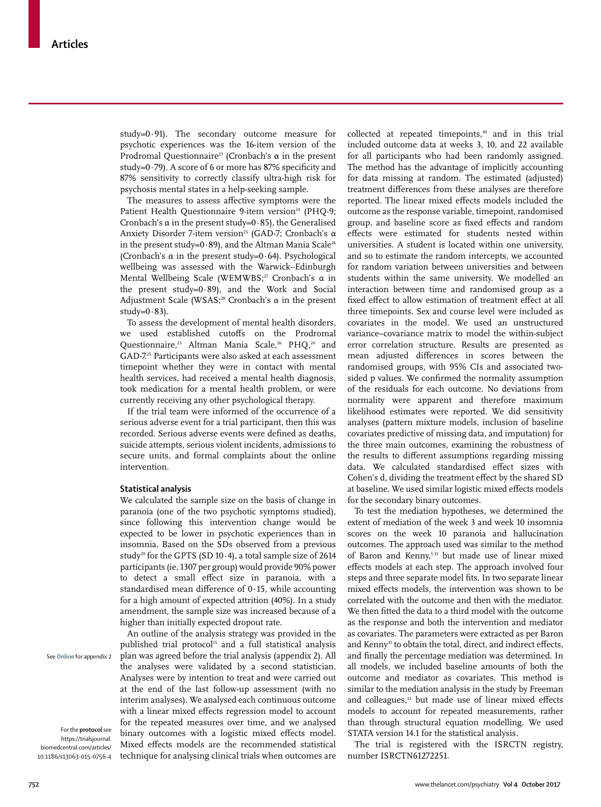study=0·91). The secondary outcome measure for psychotic experiences was the 16-item version of the Prodromal Questionnaire<sup>23</sup> (Cronbach's  $\alpha$  in the present study=0·79). A score of 6 or more has 87% specificity and 87% sensitivity to correctly classify ultra-high risk for psychosis mental states in a help-seeking sample.

The measures to assess affective symptoms were the Patient Health Questionnaire 9-item version<sup>24</sup> (PHQ-9; Cronbach's  $\alpha$  in the present study=0.85), the Generalised Anxiety Disorder 7-item version<sup>25</sup> (GAD-7; Cronbach's α in the present study=0 $\cdot$ 89), and the Altman Mania Scale<sup>26</sup> (Cronbach's  $\alpha$  in the present study=0.64). Psychological wellbeing was assessed with the Warwick–Edinburgh Mental Wellbeing Scale (WEMWBS;<sup>27</sup> Cronbach's α in the present study=0·89), and the Work and Social Adjustment Scale (WSAS;<sup>28</sup> Cronbach's  $\alpha$  in the present  $study=0.83$ ).

To assess the development of mental health disorders, we used established cutoffs on the Prodromal Questionnaire,<sup>23</sup> Altman Mania Scale,<sup>26</sup> PHQ,<sup>24</sup> and GAD-7.25 Participants were also asked at each assessment timepoint whether they were in contact with mental health services, had received a mental health diagnosis, took medication for a mental health problem, or were currently receiving any other psychological therapy.

If the trial team were informed of the occurrence of a serious adverse event for a trial participant, then this was recorded. Serious adverse events were defined as deaths, suicide attempts, serious violent incidents, admissions to secure units, and formal complaints about the online intervention.

## **Statistical analysis**

We calculated the sample size on the basis of change in paranoia (one of the two psychotic symptoms studied), since following this intervention change would be expected to be lower in psychotic experiences than in insomnia. Based on the SDs observed from a previous study<sup>29</sup> for the GPTS (SD 10 $\cdot$ 4), a total sample size of 2614 participants (ie, 1307 per group) would provide 90% power to detect a small effect size in paranoia, with a standardised mean difference of 0·15, while accounting for a high amount of expected attrition (40%). In a study amendment, the sample size was increased because of a higher than initially expected dropout rate.

An outline of the analysis strategy was provided in the published trial protocol<sup>15</sup> and a full statistical analysis plan was agreed before the trial analysis (appendix 2). All the analyses were validated by a second statistician. Analyses were by intention to treat and were carried out at the end of the last follow-up assessment (with no interim analyses). We analysed each continuous outcome with a linear mixed effects regression model to account for the repeated measures over time, and we analysed binary outcomes with a logistic mixed effects model. Mixed effects models are the recommended statistical technique for analysing clinical trials when outcomes are collected at repeated timepoints,<sup>30</sup> and in this trial included outcome data at weeks 3, 10, and 22 available for all participants who had been randomly assigned. The method has the advantage of implicitly accounting for data missing at random. The estimated (adjusted) treatment differences from these analyses are therefore reported. The linear mixed effects models included the outcome as the response variable, timepoint, randomised group, and baseline score as fixed effects and random effects were estimated for students nested within universities. A student is located within one university, and so to estimate the random intercepts, we accounted for random variation between universities and between students within the same university. We modelled an interaction between time and randomised group as a fixed effect to allow estimation of treatment effect at all three timepoints. Sex and course level were included as covariates in the model. We used an unstructured variance–covariance matrix to model the within-subject error correlation structure. Results are presented as mean adjusted differences in scores between the randomised groups, with 95% CIs and associated twosided p values. We confirmed the normality assumption of the residuals for each outcome. No deviations from normality were apparent and therefore maximum likelihood estimates were reported. We did sensitivity analyses (pattern mixture models, inclusion of baseline covariates predictive of missing data, and imputation) for the three main outcomes, examining the robustness of the results to different assumptions regarding missing data. We calculated standardised effect sizes with Cohen's d, dividing the treatment effect by the shared SD at baseline. We used similar logistic mixed effects models for the secondary binary outcomes.

To test the mediation hypotheses, we determined the extent of mediation of the week 3 and week 10 insomnia scores on the week 10 paranoia and hallucination outcomes. The approach used was similar to the method of Baron and Kenny,<sup>5,31</sup> but made use of linear mixed effects models at each step. The approach involved four steps and three separate model fits. In two separate linear mixed effects models, the intervention was shown to be correlated with the outcome and then with the mediator. We then fitted the data to a third model with the outcome as the response and both the intervention and mediator as covariates. The parameters were extracted as per Baron and Kenny<sup>31</sup> to obtain the total, direct, and indirect effects, and finally the percentage mediation was determined. In all models, we included baseline amounts of both the outcome and mediator as covariates. This method is similar to the mediation analysis in the study by Freeman and colleagues,<sup>32</sup> but made use of linear mixed effects models to account for repeated measurements, rather than through structural equation modelling. We used STATA version 14.1 for the statistical analysis.

[The trial](https://trialsjournal.biomedcentral.com/articles/10.1186/s13063-015-0756-4) is registered with the ISRCTN registry, number ISRCTN61272251.

See **Online** for appendix 2

For the **protocol** see [https://trialsjournal.](https://trialsjournal.biomedcentral.com/articles/10.1186/s13063-015-0756-4) [biomedcentral.com/articles/](https://trialsjournal.biomedcentral.com/articles/10.1186/s13063-015-0756-4)  [10.1186/s13063-015-0756-4](https://trialsjournal.biomedcentral.com/articles/10.1186/s13063-015-0756-4)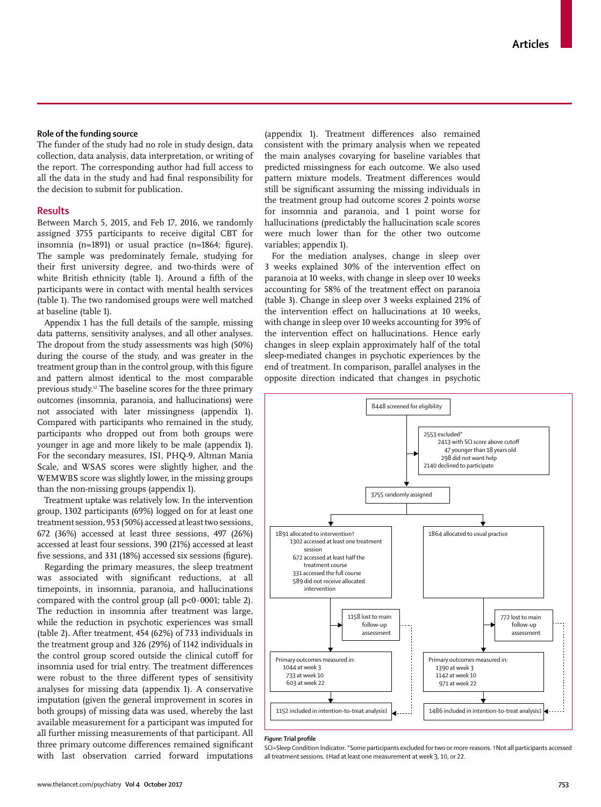## **Role of the funding source**

The funder of the study had no role in study design, data collection, data analysis, data interpretation, or writing of the report. The corresponding author had full access to all the data in the study and had final responsibility for the decision to submit for publication.

# **Results**

Between March 5, 2015, and Feb 17, 2016, we randomly assigned 3755 participants to receive digital CBT for insomnia (n=1891) or usual practice (n=1864; figure). The sample was predominately female, studying for their first university degree, and two-thirds were of white British ethnicity (table 1). Around a fifth of the participants were in contact with mental health services (table 1). The two randomised groups were well matched at baseline (table 1).

Appendix 1 has the full details of the sample, missing data patterns, sensitivity analyses, and all other analyses. The dropout from the study assessments was high (50%) during the course of the study, and was greater in the treatment group than in the control group, with this figure and pattern almost identical to the most comparable previous study.12 The baseline scores for the three primary outcomes (insomnia, paranoia, and hallucinations) were not associated with later missingness (appendix 1). Compared with participants who remained in the study, participants who dropped out from both groups were younger in age and more likely to be male (appendix 1). For the secondary measures, ISI, PHQ-9, Altman Mania Scale, and WSAS scores were slightly higher, and the WEMWBS score was slightly lower, in the missing groups than the non-missing groups (appendix 1).

Treatment uptake was relatively low. In the intervention group, 1302 participants (69%) logged on for at least one treatment session, 953 (50%) accessed at least two sessions, 672 (36%) accessed at least three sessions, 497 (26%) accessed at least four sessions, 390 (21%) accessed at least five sessions, and 331 (18%) accessed six sessions (figure).

Regarding the primary measures, the sleep treatment was associated with significant reductions, at all timepoints, in insomnia, paranoia, and hallucinations compared with the control group (all  $p<0.0001$ ; table 2). The reduction in insomnia after treatment was large, while the reduction in psychotic experiences was small (table 2). After treatment, 454 (62%) of 733 individuals in the treatment group and 326 (29%) of 1142 individuals in the control group scored outside the clinical cutoff for insomnia used for trial entry. The treatment differences were robust to the three different types of sensitivity analyses for missing data (appendix 1). A conservative imputation (given the general improvement in scores in both groups) of missing data was used, whereby the last available measurement for a participant was imputed for all further missing measurements of that participant. All three primary outcome differences remained significant with last observation carried forward imputations (appendix 1). Treatment differences also remained consistent with the primary analysis when we repeated the main analyses covarying for baseline variables that predicted missingness for each outcome. We also used pattern mixture models. Treatment differences would still be significant assuming the missing individuals in the treatment group had outcome scores 2 points worse for insomnia and paranoia, and 1 point worse for hallucinations (predictably the hallucination scale scores were much lower than for the other two outcome variables; appendix 1).

For the mediation analyses, change in sleep over 3 weeks explained 30% of the intervention effect on paranoia at 10 weeks, with change in sleep over 10 weeks accounting for 58% of the treatment effect on paranoia (table 3). Change in sleep over 3 weeks explained 21% of the intervention effect on hallucinations at 10 weeks, with change in sleep over 10 weeks accounting for 39% of the intervention effect on hallucinations. Hence early changes in sleep explain approximately half of the total sleep-mediated changes in psychotic experiences by the end of treatment. In comparison, parallel analyses in the opposite direction indicated that changes in psychotic



#### *Figure:* **Trial profile**

SCI=Sleep Condition Indicator. \*Some participants excluded for two or more reasons. †Not all participants accessed all treatment sessions. ‡Had at least one measurement at week 3, 10, or 22.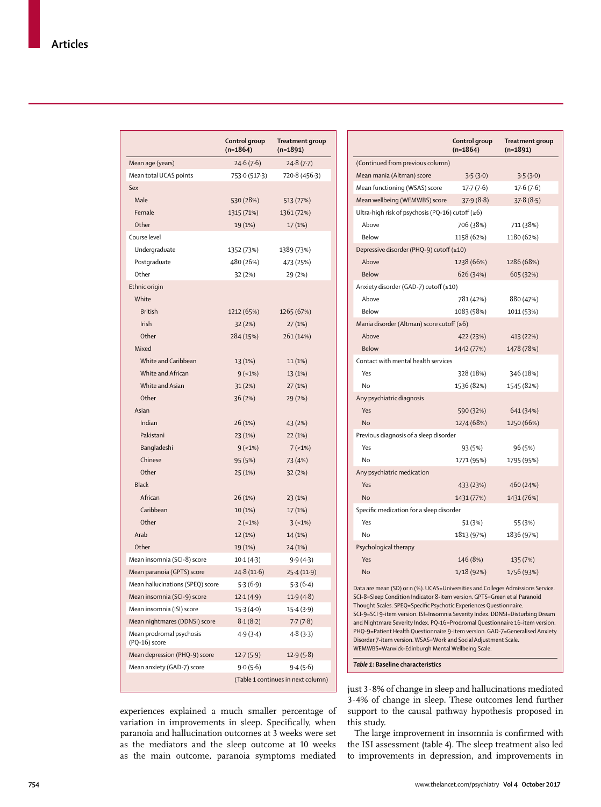|                                           | Control group<br>$(n=1864)$ | <b>Treatment group</b><br>$(n=1891)$ |
|-------------------------------------------|-----------------------------|--------------------------------------|
| Mean age (years)                          | 24.6(7.6)                   | 24.8(7.7)                            |
| Mean total UCAS points                    | 753.0 (517.3)               | 720.8 (456.3)                        |
| Sex                                       |                             |                                      |
| Male                                      | 530 (28%)                   | 513 (27%)                            |
| Female                                    | 1315 (71%)                  | 1361 (72%)                           |
| Other                                     | 19 (1%)                     | 17 (1%)                              |
| Course level                              |                             |                                      |
| Undergraduate                             | 1352 (73%)                  | 1389 (73%)                           |
| Postgraduate                              | 480 (26%)                   | 473 (25%)                            |
| Other                                     | 32 (2%)                     | 29 (2%)                              |
| Ethnic origin                             |                             |                                      |
| White                                     |                             |                                      |
| <b>British</b>                            | 1212 (65%)                  | 1265 (67%)                           |
| Irish                                     | 32(2%)                      | 27(1%)                               |
| Other                                     | 284 (15%)                   | 261 (14%)                            |
| Mixed                                     |                             |                                      |
| White and Caribbean                       | 13 (1%)                     | 11(1%)                               |
| White and African                         | $9(-1%)$                    | 13 (1%)                              |
| White and Asian                           | 31(2%)                      | 27(1%)                               |
| Other                                     | 36(2%)                      | 29 (2%)                              |
| Asian                                     |                             |                                      |
| Indian                                    | 26 (1%)                     | 43 (2%)                              |
| Pakistani                                 | 23 (1%)                     | 22 (1%)                              |
| Bangladeshi                               | $9(-1%)$                    | $7(-1%)$                             |
| Chinese                                   | 95 (5%)                     | 73 (4%)                              |
| Other                                     | 25 (1%)                     | 32 (2%)                              |
| <b>Black</b>                              |                             |                                      |
| African                                   | 26 (1%)                     | 23 (1%)                              |
| Caribbean                                 | 10 (1%)                     | 17(1%)                               |
| Other                                     | $2(-1%)$                    | $3(-1%)$                             |
| Arab                                      | 12 (1%)                     | 14 (1%)                              |
| Other                                     | 19 (1%)                     | 24 (1%)                              |
| Mean insomnia (SCI-8) score               | 10.1(4.3)                   | 9.9(4.3)                             |
| Mean paranoia (GPTS) score                | 24.8(11.6)                  | 25.4(11.9)                           |
| Mean hallucinations (SPEQ) score          | 5.3(6.9)                    | 5.3(6.4)                             |
| Mean insomnia (SCI-9) score               | 12.1(4.9)                   | 11.9(4.8)                            |
| Mean insomnia (ISI) score                 | 15.3(4.0)                   | 15.4(3.9)                            |
| Mean nightmares (DDNSI) score             | 8.1(8.2)                    | 7.7(7.8)                             |
| Mean prodromal psychosis<br>(PQ-16) score | 4.9(3.4)                    | 4.8 (3.3)                            |
| Mean depression (PHQ-9) score             | 12.7(5.9)                   | 12.9(5.8)                            |
| Mean anxiety (GAD-7) score                | 9.0(5.6)                    | 9.4(5.6)                             |
| (Table 1 continues in next column)        |                             |                                      |

experiences explained a much smaller percentage of variation in improvements in sleep. Specifically, when paranoia and hallucination outcomes at 3 weeks were set as the mediators and the sleep outcome at 10 weeks as the main outcome, paranoia symptoms mediated

|                                                                                                                                                                                                                                                                                                                                                                                                                                                                                     | Control group<br>$(n=1864)$ | Treatment group<br>$(n=1891)$ |  |  |  |  |
|-------------------------------------------------------------------------------------------------------------------------------------------------------------------------------------------------------------------------------------------------------------------------------------------------------------------------------------------------------------------------------------------------------------------------------------------------------------------------------------|-----------------------------|-------------------------------|--|--|--|--|
| (Continued from previous column)                                                                                                                                                                                                                                                                                                                                                                                                                                                    |                             |                               |  |  |  |  |
| Mean mania (Altman) score                                                                                                                                                                                                                                                                                                                                                                                                                                                           | 3.5(3.0)                    | 3.5(3.0)                      |  |  |  |  |
| Mean functioning (WSAS) score                                                                                                                                                                                                                                                                                                                                                                                                                                                       | 17.7(7.6)                   | 17.6(7.6)                     |  |  |  |  |
| Mean wellbeing (WEMWBS) score                                                                                                                                                                                                                                                                                                                                                                                                                                                       | 37.9(8.8)                   | 37.8(8.5)                     |  |  |  |  |
| Ultra-high risk of psychosis (PQ-16) cutoff ( $\geq 6$ )                                                                                                                                                                                                                                                                                                                                                                                                                            |                             |                               |  |  |  |  |
| Above                                                                                                                                                                                                                                                                                                                                                                                                                                                                               | 706 (38%)                   | 711 (38%)                     |  |  |  |  |
| Below                                                                                                                                                                                                                                                                                                                                                                                                                                                                               | 1158 (62%)                  | 1180 (62%)                    |  |  |  |  |
| Depressive disorder (PHQ-9) cutoff (≥10)                                                                                                                                                                                                                                                                                                                                                                                                                                            |                             |                               |  |  |  |  |
| Above                                                                                                                                                                                                                                                                                                                                                                                                                                                                               | 1238 (66%)                  | 1286 (68%)                    |  |  |  |  |
| Below                                                                                                                                                                                                                                                                                                                                                                                                                                                                               | 626 (34%)                   | 605 (32%)                     |  |  |  |  |
| Anxiety disorder (GAD-7) cutoff (≥10)                                                                                                                                                                                                                                                                                                                                                                                                                                               |                             |                               |  |  |  |  |
| Above                                                                                                                                                                                                                                                                                                                                                                                                                                                                               | 781 (42%)                   | 880 (47%)                     |  |  |  |  |
| <b>Below</b>                                                                                                                                                                                                                                                                                                                                                                                                                                                                        | 1083 (58%)                  | 1011 (53%)                    |  |  |  |  |
| Mania disorder (Altman) score cutoff (≥6)                                                                                                                                                                                                                                                                                                                                                                                                                                           |                             |                               |  |  |  |  |
| Above                                                                                                                                                                                                                                                                                                                                                                                                                                                                               | 422 (23%)                   | 413 (22%)                     |  |  |  |  |
| <b>Below</b>                                                                                                                                                                                                                                                                                                                                                                                                                                                                        | 1442 (77%)                  | 1478 (78%)                    |  |  |  |  |
| Contact with mental health services                                                                                                                                                                                                                                                                                                                                                                                                                                                 |                             |                               |  |  |  |  |
| Yes                                                                                                                                                                                                                                                                                                                                                                                                                                                                                 | 328 (18%)                   | 346 (18%)                     |  |  |  |  |
| No                                                                                                                                                                                                                                                                                                                                                                                                                                                                                  | 1536 (82%)                  | 1545 (82%)                    |  |  |  |  |
| Any psychiatric diagnosis                                                                                                                                                                                                                                                                                                                                                                                                                                                           |                             |                               |  |  |  |  |
| Yes                                                                                                                                                                                                                                                                                                                                                                                                                                                                                 | 590 (32%)                   | 641 (34%)                     |  |  |  |  |
| <b>No</b>                                                                                                                                                                                                                                                                                                                                                                                                                                                                           | 1274 (68%)                  | 1250 (66%)                    |  |  |  |  |
| Previous diagnosis of a sleep disorder                                                                                                                                                                                                                                                                                                                                                                                                                                              |                             |                               |  |  |  |  |
| Yes                                                                                                                                                                                                                                                                                                                                                                                                                                                                                 | 93 (5%)                     | 96 (5%)                       |  |  |  |  |
| No                                                                                                                                                                                                                                                                                                                                                                                                                                                                                  | 1771 (95%)                  | 1795 (95%)                    |  |  |  |  |
| Any psychiatric medication                                                                                                                                                                                                                                                                                                                                                                                                                                                          |                             |                               |  |  |  |  |
| Yes                                                                                                                                                                                                                                                                                                                                                                                                                                                                                 | 433 (23%)                   | 460 (24%)                     |  |  |  |  |
| <b>No</b>                                                                                                                                                                                                                                                                                                                                                                                                                                                                           | 1431 (77%)                  | 1431 (76%)                    |  |  |  |  |
| Specific medication for a sleep disorder                                                                                                                                                                                                                                                                                                                                                                                                                                            |                             |                               |  |  |  |  |
| Yes                                                                                                                                                                                                                                                                                                                                                                                                                                                                                 | 51 (3%)                     | 55 (3%)                       |  |  |  |  |
| No                                                                                                                                                                                                                                                                                                                                                                                                                                                                                  | 1813 (97%)                  | 1836 (97%)                    |  |  |  |  |
| Psychological therapy                                                                                                                                                                                                                                                                                                                                                                                                                                                               |                             |                               |  |  |  |  |
| Yes                                                                                                                                                                                                                                                                                                                                                                                                                                                                                 | 146 (8%)                    | 135 (7%)                      |  |  |  |  |
| No                                                                                                                                                                                                                                                                                                                                                                                                                                                                                  | 1718 (92%)                  | 1756 (93%)                    |  |  |  |  |
| Data are mean (SD) or n (%). UCAS=Universities and Colleges Admissions Service.<br>SCI-8=Sleep Condition Indicator 8-item version. GPTS=Green et al Paranoid<br>Thought Scales. SPEQ=Specific Psychotic Experiences Questionnaire.<br>SCI-9=SCI 9-item version. ISI=Insomnia Severity Index. DDNSI=Disturbing Dream<br>and Nightmare Severity Index. PQ-16=Prodromal Questionnaire 16-item version.<br>PHQ-9=Patient Health Questionnaire 9-item version. GAD-7=Generalised Anxiety |                             |                               |  |  |  |  |

WEMWBS=Warwick–Edinburgh Mental Wellbeing Scale.

Disorder 7-item version. WSAS=Work and Social Adjustment Scale.

*Table 1:* **Baseline characteristics**

just 3·8% of change in sleep and hallucinations mediated 3·4% of change in sleep. These outcomes lend further support to the causal pathway hypothesis proposed in this study.

The large improvement in insomnia is confirmed with the ISI assessment (table 4). The sleep treatment also led to improvements in depression, and improvements in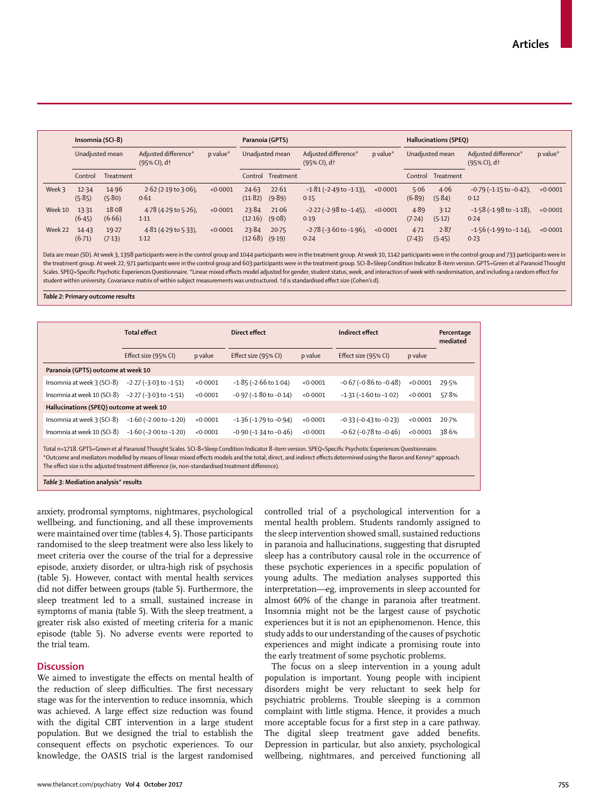|         | Insomnia (SCI-8)<br>Paranoia (GPTS) |                 |                                                  |          | Hallucinations (SPEQ) |                   |                                                    |          |                |                 |                                                     |          |
|---------|-------------------------------------|-----------------|--------------------------------------------------|----------|-----------------------|-------------------|----------------------------------------------------|----------|----------------|-----------------|-----------------------------------------------------|----------|
|         | Unadjusted mean                     |                 | Adjusted difference*<br>(95% CI), d <sup>+</sup> | p value* |                       | Unadjusted mean   | Adjusted difference*<br>$(95%$ CI), d <sup>+</sup> | p value* |                | Unadjusted mean | Adjusted difference*<br>$(95% CI)$ , d <sup>+</sup> | p value* |
|         | Control                             | Treatment       |                                                  |          |                       | Control Treatment |                                                    |          | Control        | Treatment       |                                                     |          |
| Week 3  | 12.34<br>(5.85)                     | 14.96<br>(5.80) | $2.62$ (2.19 to 3.06),<br>0.61                   | < 0.0001 | 24.63<br>(11.82)      | 22.61<br>(9.89)   | $-1.81$ ( $-2.49$ to $-1.13$ ),<br>0.15            | < 0.0001 | 5.06<br>(6.89) | 4.06<br>(5.84)  | $-0.79$ ( $-1.15$ to $-0.42$ ),<br>0.12             | < 0.0001 |
| Week 10 | 13.31<br>(6.45)                     | 18.08<br>(6.66) | 4.78 (4.29 to 5.26),<br>1.11                     | < 0.0001 | 23.84<br>(12.16)      | 21.06<br>(9.08)   | $-2.22$ ( $-2.98$ to $-1.45$ ),<br>0.19            | < 0.0001 | 4.89<br>(7.24) | 3.12<br>(5.12)  | $-1.58$ ( $-1.98$ to $-1.18$ ),<br>0.24             | < 0.0001 |
| Week 22 | 14.43<br>(6.71)                     | 19.27<br>(7.13) | $4.81(4.29 \text{ to } 5.33)$ ,<br>1.12          | < 0.0001 | 23.84<br>(12.68)      | 20.75<br>(9.19)   | $-2.78$ ( $-3.60$ to $-1.96$ ),<br>0.24            | < 0.0001 | 4.71<br>(7.43) | 2.87<br>(5.45)  | $-1.56$ ( $-1.99$ to $-1.14$ ),<br>0.23             | < 0.0001 |

Data are mean (SD). At week 3, 1398 participants were in the control group and 1044 participants were in the treatment group. At week 10, 1142 participants were in the control group and 733 participants were in the treatment group. At week 22, 971 participants were in the control group and 603 participants were in the treatment group. SCI-8=Sleep Condition Indicator 8-item version. GPTS=Green et al Paranoid Thought Scales. SPEQ=Specific Psychotic Experiences Questionnaire. \*Linear mixed effects model adjusted for gender, student status, week, and interaction of week with randomisation, and including a random effect for student within university. Covariance matrix of within subject measurements was unstructured. †d is standardised effect size (Cohen's d).

*Table 2:* **Primary outcome results**

| <b>Total effect</b>                      |          | Direct effect                  |          | Indirect effect                |          | Percentage<br>mediated |
|------------------------------------------|----------|--------------------------------|----------|--------------------------------|----------|------------------------|
| Effect size (95% CI)                     | p value  | Effect size (95% CI)           | p value  | Effect size (95% CI)           | p value  |                        |
| Paranoia (GPTS) outcome at week 10       |          |                                |          |                                |          |                        |
| $-2.27$ ( $-3.03$ to $-1.51$ )           | < 0.0001 | $-1.85$ ( $-2.66$ to $1.04$ )  | < 0.0001 | $-0.67$ ( $-0.86$ to $-0.48$ ) | < 0.0001 | 29.5%                  |
| $-2.27$ ( $-3.03$ to $-1.51$ )           | < 0.0001 | $-0.97$ ( $-1.80$ to $-0.14$ ) | < 0.0001 | $-1.31(-1.60$ to $-1.02$ )     | < 0.0001 | 57.8%                  |
| Hallucinations (SPEQ) outcome at week 10 |          |                                |          |                                |          |                        |
| $-1.60$ ( $-2.00$ to $-1.20$ )           | < 0.0001 | $-1.36$ ( $-1.79$ to $-0.94$ ) | < 0.0001 | $-0.33$ ( $-0.43$ to $-0.23$ ) | < 0.0001 | 20.7%                  |
| $-1.60$ ( $-2.00$ to $-1.20$ )           | < 0.0001 | $-0.90$ ( $-1.34$ to $-0.46$ ) | < 0.0001 | $-0.62$ ( $-0.78$ to $-0.46$ ) | < 0.0001 | 38.6%                  |
|                                          |          |                                |          |                                |          |                        |

Total n=1718. GPTS=Green et al Paranoid Thought Scales. SCI-8=Sleep Condition Indicator 8-item version. SPEQ=Specific Psychotic Experiences Questionnaire. \*Outcome and mediators modelled by means of linear mixed effects models and the total, direct, and indirect effects determined using the Baron and Kenny31 approach. The effect size is the adjusted treatment difference (ie, non-standardised treatment difference).

*Table 3:* **Mediation analysis\* results**

anxiety, prodromal symptoms, nightmares, psychological wellbeing, and functioning, and all these improvements were maintained over time (tables 4, 5). Those participants randomised to the sleep treatment were also less likely to meet criteria over the course of the trial for a depressive episode, anxiety disorder, or ultra-high risk of psychosis (table 5). However, contact with mental health services did not differ between groups (table 5). Furthermore, the sleep treatment led to a small, sustained increase in symptoms of mania (table 5). With the sleep treatment, a greater risk also existed of meeting criteria for a manic episode (table 5). No adverse events were reported to the trial team.

## **Discussion**

We aimed to investigate the effects on mental health of the reduction of sleep difficulties. The first necessary stage was for the intervention to reduce insomnia, which was achieved. A large effect size reduction was found with the digital CBT intervention in a large student population. But we designed the trial to establish the consequent effects on psychotic experiences. To our knowledge, the OASIS trial is the largest randomised controlled trial of a psychological intervention for a mental health problem. Students randomly assigned to the sleep intervention showed small, sustained reductions in paranoia and hallucinations, suggesting that disrupted sleep has a contributory causal role in the occurrence of these psychotic experiences in a specific population of young adults. The mediation analyses supported this interpretation—eg, improvements in sleep accounted for almost 60% of the change in paranoia after treatment. Insomnia might not be the largest cause of psychotic experiences but it is not an epiphenomenon. Hence, this study adds to our understanding of the causes of psychotic experiences and might indicate a promising route into the early treatment of some psychotic problems.

The focus on a sleep intervention in a young adult population is important. Young people with incipient disorders might be very reluctant to seek help for psychiatric problems. Trouble sleeping is a common complaint with little stigma. Hence, it provides a much more acceptable focus for a first step in a care pathway. The digital sleep treatment gave added benefits. Depression in particular, but also anxiety, psychological wellbeing, nightmares, and perceived functioning all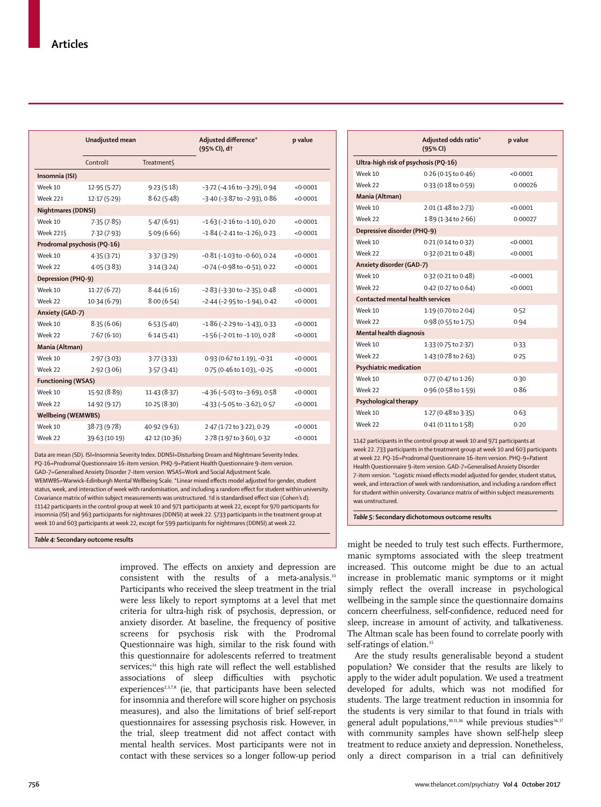|                             | Unadjusted mean |               | Adjusted difference*<br>(95% CI), dt | p value  |
|-----------------------------|-----------------|---------------|--------------------------------------|----------|
|                             | Control‡        | Treatment     |                                      |          |
| Insomnia (ISI)              |                 |               |                                      |          |
| Week 10                     | 12.95(5.27)     | 9.23(5.18)    | $-3.72$ ( $-4.16$ to $-3.29$ ), 0.94 | < 0.0001 |
| <b>Week 22‡</b>             | 12.17(5.29)     | 8.62(5.48)    | $-3.40$ ( $-3.87$ to $-2.93$ ), 0.86 | < 0.0001 |
| <b>Nightmares (DDNSI)</b>   |                 |               |                                      |          |
| Week 10                     | 7.35(7.85)      | 5.47(6.91)    | $-1.63$ ( $-2.16$ to $-1.10$ ), 0.20 | < 0.0001 |
| <b>Week 22#§</b>            | 7.32(7.93)      | 5.09(6.66)    | $-1.84$ ( $-2.41$ to $-1.26$ ), 0.23 | < 0.0001 |
| Prodromal psychosis (PQ-16) |                 |               |                                      |          |
| Week 10                     | 4.35(3.71)      | 3.37(3.29)    | $-0.81$ ( $-1.03$ to $-0.60$ ), 0.24 | < 0.0001 |
| Week 22                     | 4.05(3.83)      | 3.14(3.24)    | -0.74 (-0.98 to -0.51), 0.22         | < 0.0001 |
| Depression (PHQ-9)          |                 |               |                                      |          |
| Week 10                     | 11.27(6.72)     | 8.44(6.16)    | $-2.83$ ( $-3.30$ to $-2.35$ ), 0.48 | < 0.0001 |
| Week 22                     | 10.34(6.79)     | 8.00(6.54)    | $-2.44$ ( $-2.95$ to $-1.94$ ), 0.42 | < 0.0001 |
| Anxiety (GAD-7)             |                 |               |                                      |          |
| Week 10                     | 8.35(6.06)      | 6.53(5.40)    | $-1.86$ ( $-2.29$ to $-1.43$ ), 0.33 | < 0.0001 |
| Week 22                     | 7.67(6.10)      | 6.14(5.41)    | $-1.56$ ( $-2.01$ to $-1.10$ ), 0.28 | < 0.0001 |
| Mania (Altman)              |                 |               |                                      |          |
| Week 10                     | 2.97(3.03)      | 3.77(3.33)    | 0.93 (0.67 to 1.19), -0.31           | < 0.0001 |
| Week 22                     | 2.92(3.06)      | 3.57(3.41)    | 0.75 (0.46 to 1.03), -0.25           | < 0.0001 |
| <b>Functioning (WSAS)</b>   |                 |               |                                      |          |
| Week 10                     | 15.92 (8.89)    | 11.43(8.37)   | $-4.36$ ( $-5.03$ to $-3.69$ ), 0.58 | < 0.0001 |
| Week 22                     | 14.92 (9.17)    | 10.25(8.30)   | $-4.33$ ( $-5.05$ to $-3.62$ ), 0.57 | < 0.0001 |
| <b>Wellbeing (WEMWBS)</b>   |                 |               |                                      |          |
| Week 10                     | 38.73 (9.78)    | 40.92 (9.63)  | 2.47 (1.72 to 3.22), 0.29            | < 0.0001 |
| Week 22                     | 39.63 (10.19)   | 42.12 (10.36) | 2.78 (1.97 to 3.60), 0.32            | < 0.0001 |

Data are mean (SD). ISI=Insomnia Severity Index. DDNSI=Disturbing Dream and Nightmare Severity Index. PQ-16=Prodromal Questionnaire 16-item version. PHQ-9=Patient Health Questionnaire 9-item version. GAD-7=Generalised Anxiety Disorder 7-item version. WSAS=Work and Social Adjustment Scale. WEMWBS=Warwick–Edinburgh Mental Wellbeing Scale. \*Linear mixed effects model adjusted for gender, student status, week, and interaction of week with randomisation, and including a random effect for student within university. Covariance matrix of within subject measurements was unstructured. †d is standardised effect size (Cohen's d). ‡1142 participants in the control group at week 10 and 971 participants at week 22, except for 970 participants for insomnia (ISI) and 963 participants for nightmares (DDNSI) at week 22. §733 participants in the treatment group at week 10 and 603 participants at week 22, except for 599 participants for nightmares (DDNSI) at week 22.

*Table 4:* **Secondary outcome results**

improved. The effects on anxiety and depression are consistent with the results of a meta-analysis.<sup>33</sup> Participants who received the sleep treatment in the trial were less likely to report symptoms at a level that met criteria for ultra-high risk of psychosis, depression, or anxiety disorder. At baseline, the frequency of positive screens for psychosis risk with the Prodromal Questionnaire was high, similar to the risk found with this questionnaire for adolescents referred to treatment services;<sup>34</sup> this high rate will reflect the well established associations of sleep difficulties with psychotic experiences<sup>2,3,7,8</sup> (ie, that participants have been selected for insomnia and therefore will score higher on psychosis measures), and also the limitations of brief self-report questionnaires for assessing psychosis risk. However, in the trial, sleep treatment did not affect contact with mental health services. Most participants were not in contact with these services so a longer follow-up period

|                                                                                                                                                                                                                                          | Adjusted odds ratio*<br>(95% CI) | p value  |  |  |  |  |
|------------------------------------------------------------------------------------------------------------------------------------------------------------------------------------------------------------------------------------------|----------------------------------|----------|--|--|--|--|
| Ultra-high risk of psychosis (PQ-16)                                                                                                                                                                                                     |                                  |          |  |  |  |  |
| Week 10                                                                                                                                                                                                                                  | $0.26$ (0.15 to $0.46$ )         | < 0.0001 |  |  |  |  |
| Week 22                                                                                                                                                                                                                                  | 0.33 (0.18 to 0.59)              | 0.00026  |  |  |  |  |
| Mania (Altman)                                                                                                                                                                                                                           |                                  |          |  |  |  |  |
| Week 10                                                                                                                                                                                                                                  | 2.01 (1.48 to 2.73)              | < 0.0001 |  |  |  |  |
| Week 22                                                                                                                                                                                                                                  | 1.89 (1.34 to 2.66)              | 0.00027  |  |  |  |  |
| Depressive disorder (PHQ-9)                                                                                                                                                                                                              |                                  |          |  |  |  |  |
| Week 10                                                                                                                                                                                                                                  | 0.21 (0.14 to 0.32)              | < 0.0001 |  |  |  |  |
| Week 22                                                                                                                                                                                                                                  | 0.32 (0.21 to 0.48)              | < 0.0001 |  |  |  |  |
| Anxiety disorder (GAD-7)                                                                                                                                                                                                                 |                                  |          |  |  |  |  |
| Week 10                                                                                                                                                                                                                                  | $0.32(0.21 \text{ to } 0.48)$    | < 0.0001 |  |  |  |  |
| Week 22                                                                                                                                                                                                                                  | 0.42 (0.27 to 0.64)              | < 0.0001 |  |  |  |  |
| <b>Contacted mental health services</b>                                                                                                                                                                                                  |                                  |          |  |  |  |  |
| Week 10                                                                                                                                                                                                                                  | 1.19 (0.70 to 2.04)              | 0.52     |  |  |  |  |
| Week 22                                                                                                                                                                                                                                  | 0.98 (0.55 to 1.75)              | 0.94     |  |  |  |  |
| Mental health diagnosis                                                                                                                                                                                                                  |                                  |          |  |  |  |  |
| Week 10                                                                                                                                                                                                                                  | 1.33 (0.75 to 2.37)              | 0.33     |  |  |  |  |
| Week 22                                                                                                                                                                                                                                  | $1.43(0.78 \text{ to } 2.63)$    | 0.25     |  |  |  |  |
| Psychiatric medication                                                                                                                                                                                                                   |                                  |          |  |  |  |  |
| Week 10                                                                                                                                                                                                                                  | $0.77$ (0.47 to 1.26)            | 0.30     |  |  |  |  |
| Week 22                                                                                                                                                                                                                                  | 0.96 (0.58 to 1.59)              | 0.86     |  |  |  |  |
| Psychological therapy                                                                                                                                                                                                                    |                                  |          |  |  |  |  |
| Week 10                                                                                                                                                                                                                                  | $1.27(0.48 \text{ to } 3.35)$    | 0.63     |  |  |  |  |
| Week 22                                                                                                                                                                                                                                  | $0.41(0.11$ to $1.58)$           | 0.20     |  |  |  |  |
| 1142 participants in the control group at week 10 and 971 participants at<br>week 22.733 participants in the treatment group at week 10 and 603 participants<br>at week 22. PQ-16=Prodromal Questionnaire 16-item version. PHQ-9=Patient |                                  |          |  |  |  |  |

Health Questionnaire 9-item version. GAD-7=Generalised Anxiety Disorder 7-item version. \*Logistic mixed effects model adjusted for gender, student status, week, and interaction of week with randomisation, and including a random effect for student within university. Covariance matrix of within subject measurements was unstructured.

*Table 5:* **Secondary dichotomous outcome results**

might be needed to truly test such effects. Furthermore, manic symptoms associated with the sleep treatment increased. This outcome might be due to an actual increase in problematic manic symptoms or it might simply reflect the overall increase in psychological wellbeing in the sample since the questionnaire domains concern cheerfulness, self-confidence, reduced need for sleep, increase in amount of activity, and talkativeness. The Altman scale has been found to correlate poorly with self-ratings of elation.<sup>35</sup>

Are the study results generalisable beyond a student population? We consider that the results are likely to apply to the wider adult population. We used a treatment developed for adults, which was not modified for students. The large treatment reduction in insomnia for the students is very similar to that found in trials with general adult populations,<sup>10,11,36</sup> while previous studies<sup>36,37</sup> with community samples have shown self-help sleep treatment to reduce anxiety and depression. Nonetheless, only a direct comparison in a trial can definitively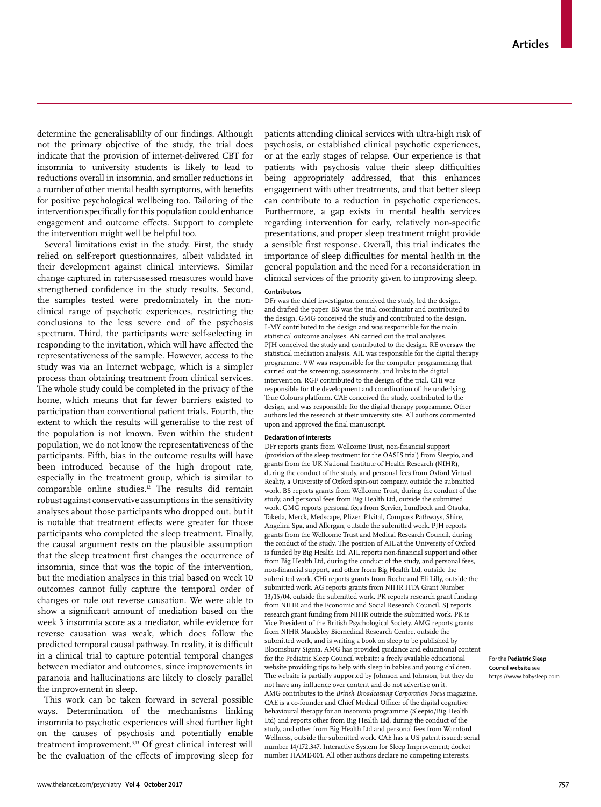determine the generalisablilty of our findings. Although not the primary objective of the study, the trial does indicate that the provision of internet-delivered CBT for insomnia to university students is likely to lead to reductions overall in insomnia, and smaller reductions in a number of other mental health symptoms, with benefits for positive psychological wellbeing too. Tailoring of the intervention specifically for this population could enhance engagement and outcome effects. Support to complete the intervention might well be helpful too.

Several limitations exist in the study. First, the study relied on self-report questionnaires, albeit validated in their development against clinical interviews. Similar change captured in rater-assessed measures would have strengthened confidence in the study results. Second, the samples tested were predominately in the nonclinical range of psychotic experiences, restricting the conclusions to the less severe end of the psychosis spectrum. Third, the participants were self-selecting in responding to the invitation, which will have affected the representativeness of the sample. However, access to the study was via an Internet webpage, which is a simpler process than obtaining treatment from clinical services. The whole study could be completed in the privacy of the home, which means that far fewer barriers existed to participation than conventional patient trials. Fourth, the extent to which the results will generalise to the rest of the population is not known. Even within the student population, we do not know the representativeness of the participants. Fifth, bias in the outcome results will have been introduced because of the high dropout rate, especially in the treatment group, which is similar to comparable online studies.<sup>12</sup> The results did remain robust against conservative assumptions in the sensitivity analyses about those participants who dropped out, but it is notable that treatment effects were greater for those participants who completed the sleep treatment. Finally, the causal argument rests on the plausible assumption that the sleep treatment first changes the occurrence of insomnia, since that was the topic of the intervention, but the mediation analyses in this trial based on week 10 outcomes cannot fully capture the temporal order of changes or rule out reverse causation. We were able to show a significant amount of mediation based on the week 3 insomnia score as a mediator, while evidence for reverse causation was weak, which does follow the predicted temporal causal pathway. In reality, it is difficult in a clinical trial to capture potential temporal changes between mediator and outcomes, since improvements in paranoia and hallucinations are likely to closely parallel the improvement in sleep.

This work can be taken forward in several possible ways. Determination of the mechanisms linking insomnia to psychotic experiences will shed further light on the causes of psychosis and potentially enable treatment improvement.3,13 Of great clinical interest will be the evaluation of the effects of improving sleep for patients attending clinical services with ultra-high risk of psychosis, or established clinical psychotic experiences, or at the early stages of relapse. Our experience is that patients with psychosis value their sleep difficulties being appropriately addressed, that this enhances engagement with other treatments, and that better sleep can contribute to a reduction in psychotic experiences. Furthermore, a gap exists in mental health services regarding intervention for early, relatively non-specific presentations, and proper sleep treatment might provide a sensible first response. Overall, this trial indicates the importance of sleep difficulties for mental health in the general population and the need for a reconsideration in clinical services of the priority given to improving sleep.

#### **Contributors**

DFr was the chief investigator, conceived the study, led the design, and drafted the paper. BS was the trial coordinator and contributed to the design. GMG conceived the study and contributed to the design. L-MY contributed to the design and was responsible for the main statistical outcome analyses. AN carried out the trial analyses. PJH conceived the study and contributed to the design. RE oversaw the statistical mediation analysis. AIL was responsible for the digital therapy programme. VW was responsible for the computer programming that carried out the screening, assessments, and links to the digital intervention. RGF contributed to the design of the trial. CHi was responsible for the development and coordination of the underlying True Colours platform. CAE conceived the study, contributed to the design, and was responsible for the digital therapy programme. Other authors led the research at their university site. All authors commented upon and approved the final manuscript.

#### **Declaration of interests**

DFr reports grants from Wellcome Trust, non-financial support (provision of the sleep treatment for the OASIS trial) from Sleepio, and grants from the UK National Institute of Health Research (NIHR), during the conduct of the study, and personal fees from Oxford Virtual Reality, a University of Oxford spin-out company, outside the submitted work. BS reports grants from Wellcome Trust, during the conduct of the study, and personal fees from Big Health Ltd, outside the submitted work. GMG reports personal fees from Servier, Lundbeck and Otsuka, Takeda, Merck, Medscape, Pfizer, P1vital, Compass Pathways, Shire, Angelini Spa, and Allergan, outside the submitted work. PJH reports grants from the Wellcome Trust and Medical Research Council, during the conduct of the study. The position of AIL at the University of Oxford is funded by Big Health Ltd. AIL reports non-financial support and other from Big Health Ltd, during the conduct of the study, and personal fees, non-financial support, and other from Big Health Ltd, outside the submitted work. CHi reports grants from Roche and Eli Lilly, outside the submitted work. AG reports grants from NIHR HTA Grant Number 13/15/04, outside the submitted work. PK reports research grant funding from NIHR and the Economic and Social Research Council. SJ reports research grant funding from NIHR outside the submitted work. PK is Vice President of the British Psychological Society. AMG reports grants from NIHR Maudsley Biomedical Research Centre, outside the submitted work, and is writing a book on sleep to be published by Bloomsbury Sigma. AMG has provided guidance and educational content for the [Pediatric Sleep Council website](https://www.babysleep.com); a freely available educational website providing tips to help with sleep in babies and young children. The website is partially supported by Johnson and Johnson, but they do not have any influence over content and do not advertise on it. AMG contributes to the *British Broadcasting Corporation Focus* magazine. CAE is a co-founder and Chief Medical Officer of the digital cognitive behavioural therapy for an insomnia programme (Sleepio/Big Health Ltd) and reports other from Big Health Ltd, during the conduct of the study, and other from Big Health Ltd and personal fees from Warnford Wellness, outside the submitted work. CAE has a US patent issued: serial number 14/172, 347, Interactive System for Sleep Improvement; docket number HAME-001. All other authors declare no competing interests.

For the **Pediatric Sleep Council website** see https://www.babysleep.com